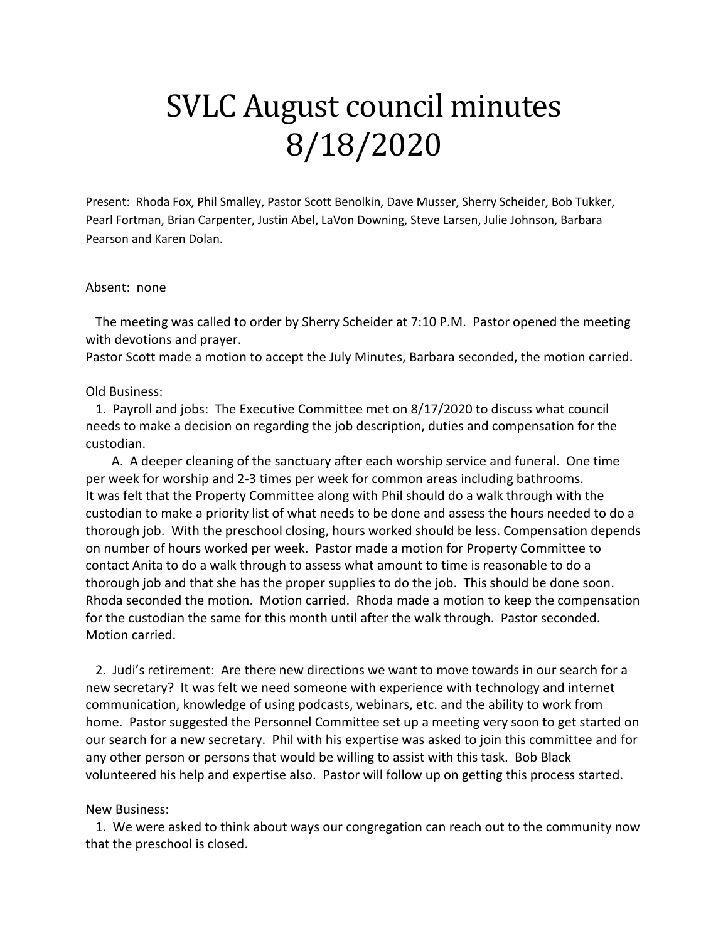## SVLC August council minutes 8/18/2020

Present: Rhoda Fox, Phil Smalley, Pastor Scott Benolkin, Dave Musser, Sherry Scheider, Bob Tukker, Pearl Fortman, Brian Carpenter, Justin Abel, LaVon Downing, Steve Larsen, Julie Johnson, Barbara Pearson and Karen Dolan.

## Absent: none

 The meeting was called to order by Sherry Scheider at 7:10 P.M. Pastor opened the meeting with devotions and prayer.

Pastor Scott made a motion to accept the July Minutes, Barbara seconded, the motion carried.

## Old Business:

 1. Payroll and jobs: The Executive Committee met on 8/17/2020 to discuss what council needs to make a decision on regarding the job description, duties and compensation for the custodian.

 A. A deeper cleaning of the sanctuary after each worship service and funeral. One time per week for worship and 2-3 times per week for common areas including bathrooms. It was felt that the Property Committee along with Phil should do a walk through with the custodian to make a priority list of what needs to be done and assess the hours needed to do a thorough job. With the preschool closing, hours worked should be less. Compensation depends on number of hours worked per week. Pastor made a motion for Property Committee to contact Anita to do a walk through to assess what amount to time is reasonable to do a thorough job and that she has the proper supplies to do the job. This should be done soon. Rhoda seconded the motion. Motion carried. Rhoda made a motion to keep the compensation for the custodian the same for this month until after the walk through. Pastor seconded. Motion carried.

 2. Judi's retirement: Are there new directions we want to move towards in our search for a new secretary? It was felt we need someone with experience with technology and internet communication, knowledge of using podcasts, webinars, etc. and the ability to work from home. Pastor suggested the Personnel Committee set up a meeting very soon to get started on our search for a new secretary. Phil with his expertise was asked to join this committee and for any other person or persons that would be willing to assist with this task. Bob Black volunteered his help and expertise also. Pastor will follow up on getting this process started.

## New Business:

 1. We were asked to think about ways our congregation can reach out to the community now that the preschool is closed.